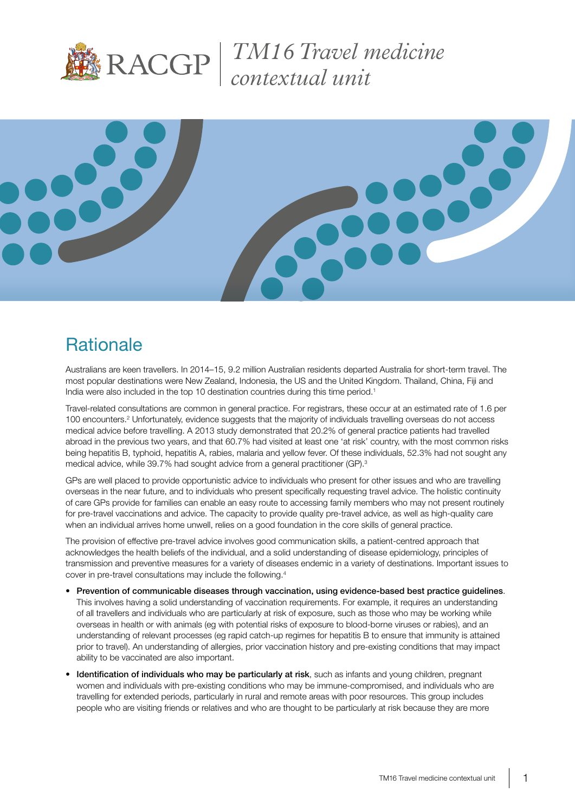

*TM16 Travel medicine contextual unit*



# **Rationale**

Australians are keen travellers. In 2014–15, 9.2 million Australian residents departed Australia for short-term travel. The most popular destinations were New Zealand, Indonesia, the US and the United Kingdom. Thailand, China, Fiji and India were also included in the top 10 destination countries during this time period.<sup>1</sup>

Travel-related consultations are common in general practice. For registrars, these occur at an estimated rate of 1.6 per 100 encounters.<sup>2</sup> Unfortunately, evidence suggests that the majority of individuals travelling overseas do not access medical advice before travelling. A 2013 study demonstrated that 20.2% of general practice patients had travelled abroad in the previous two years, and that 60.7% had visited at least one 'at risk' country, with the most common risks being hepatitis B, typhoid, hepatitis A, rabies, malaria and yellow fever. Of these individuals, 52.3% had not sought any medical advice, while 39.7% had sought advice from a general practitioner (GP).<sup>3</sup>

GPs are well placed to provide opportunistic advice to individuals who present for other issues and who are travelling overseas in the near future, and to individuals who present specifically requesting travel advice. The holistic continuity of care GPs provide for families can enable an easy route to accessing family members who may not present routinely for pre-travel vaccinations and advice. The capacity to provide quality pre-travel advice, as well as high-quality care when an individual arrives home unwell, relies on a good foundation in the core skills of general practice.

The provision of effective pre-travel advice involves good communication skills, a patient-centred approach that acknowledges the health beliefs of the individual, and a solid understanding of disease epidemiology, principles of transmission and preventive measures for a variety of diseases endemic in a variety of destinations. Important issues to cover in pre-travel consultations may include the following.4

- Prevention of communicable diseases through vaccination, using evidence-based best practice guidelines. This involves having a solid understanding of vaccination requirements. For example, it requires an understanding of all travellers and individuals who are particularly at risk of exposure, such as those who may be working while overseas in health or with animals (eg with potential risks of exposure to blood-borne viruses or rabies), and an understanding of relevant processes (eg rapid catch-up regimes for hepatitis B to ensure that immunity is attained prior to travel). An understanding of allergies, prior vaccination history and pre-existing conditions that may impact ability to be vaccinated are also important.
- Identification of individuals who may be particularly at risk, such as infants and young children, pregnant women and individuals with pre-existing conditions who may be immune-compromised, and individuals who are travelling for extended periods, particularly in rural and remote areas with poor resources. This group includes people who are visiting friends or relatives and who are thought to be particularly at risk because they are more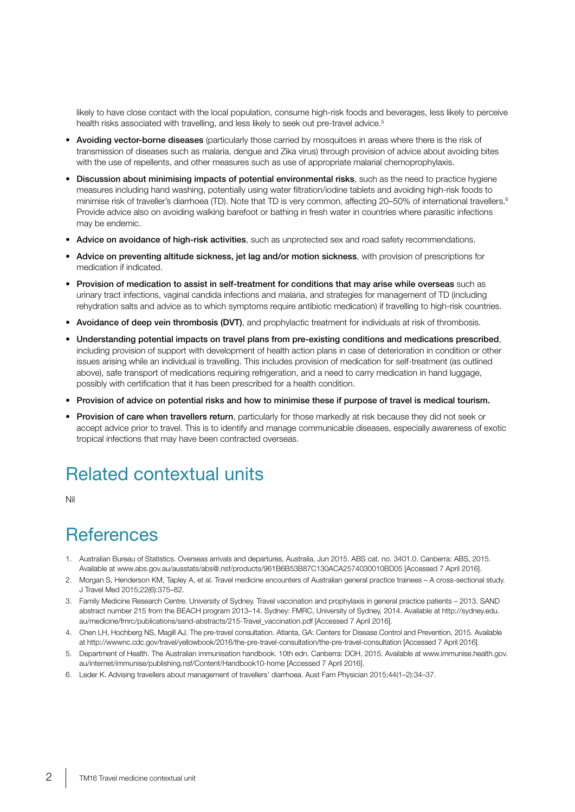likely to have close contact with the local population, consume high-risk foods and beverages, less likely to perceive health risks associated with travelling, and less likely to seek out pre-travel advice.<sup>5</sup>

- Avoiding vector-borne diseases (particularly those carried by mosquitoes in areas where there is the risk of transmission of diseases such as malaria, dengue and Zika virus) through provision of advice about avoiding bites with the use of repellents, and other measures such as use of appropriate malarial chemoprophylaxis.
- Discussion about minimising impacts of potential environmental risks, such as the need to practice hygiene measures including hand washing, potentially using water filtration/iodine tablets and avoiding high-risk foods to minimise risk of traveller's diarrhoea (TD). Note that TD is very common, affecting 20–50% of international travellers.<sup>6</sup> Provide advice also on avoiding walking barefoot or bathing in fresh water in countries where parasitic infections may be endemic.
- Advice on avoidance of high-risk activities, such as unprotected sex and road safety recommendations.
- Advice on preventing altitude sickness, jet lag and/or motion sickness, with provision of prescriptions for medication if indicated.
- Provision of medication to assist in self-treatment for conditions that may arise while overseas such as urinary tract infections, vaginal candida infections and malaria, and strategies for management of TD (including rehydration salts and advice as to which symptoms require antibiotic medication) if travelling to high-risk countries.
- Avoidance of deep vein thrombosis (DVT), and prophylactic treatment for individuals at risk of thrombosis.
- Understanding potential impacts on travel plans from pre-existing conditions and medications prescribed, including provision of support with development of health action plans in case of deterioration in condition or other issues arising while an individual is travelling. This includes provision of medication for self-treatment (as outlined above), safe transport of medications requiring refrigeration, and a need to carry medication in hand luggage, possibly with certification that it has been prescribed for a health condition.
- Provision of advice on potential risks and how to minimise these if purpose of travel is medical tourism.
- Provision of care when travellers return, particularly for those markedly at risk because they did not seek or accept advice prior to travel. This is to identify and manage communicable diseases, especially awareness of exotic tropical infections that may have been contracted overseas.

# Related contextual units

Nil

### **References**

- 1. Australian Bureau of Statistics. Overseas arrivals and departures, Australia, Jun 2015. ABS cat. no. 3401.0. Canberra: ABS, 2015. Available at www.abs.gov.au/ausstats/abs@.nsf/products/961B6B53B87C130ACA2574030010BD05 [Accessed 7 April 2016].
- 2. Morgan S, Henderson KM, Tapley A, et al. Travel medicine encounters of Australian general practice trainees A cross-sectional study. J Travel Med 2015;22(6):375–82.
- 3. Family Medicine Research Centre. University of Sydney. Travel vaccination and prophylaxis in general practice patients 2013. SAND abstract number 215 from the BEACH program 2013–14. Sydney: FMRC, University of Sydney, 2014. Available at http://sydney.edu. au/medicine/fmrc/publications/sand-abstracts/215-Travel\_vaccination.pdf [Accessed 7 April 2016].
- 4. Chen LH, Hochberg NS, Magill AJ. The pre-travel consultation. Atlanta, GA: Centers for Disease Control and Prevention, 2015. Available at http://wwwnc.cdc.gov/travel/yellowbook/2016/the-pre-travel-consultation/the-pre-travel-consultation [Accessed 7 April 2016].
- 5. Department of Health. The Australian immunisation handbook. 10th edn. Canberra: DOH, 2015. Available at www.immunise.health.gov. au/internet/immunise/publishing.nsf/Content/Handbook10-home [Accessed 7 April 2016].
- 6. Leder K. Advising travellers about management of travellers' diarrhoea. Aust Fam Physician 2015;44(1–2):34–37.